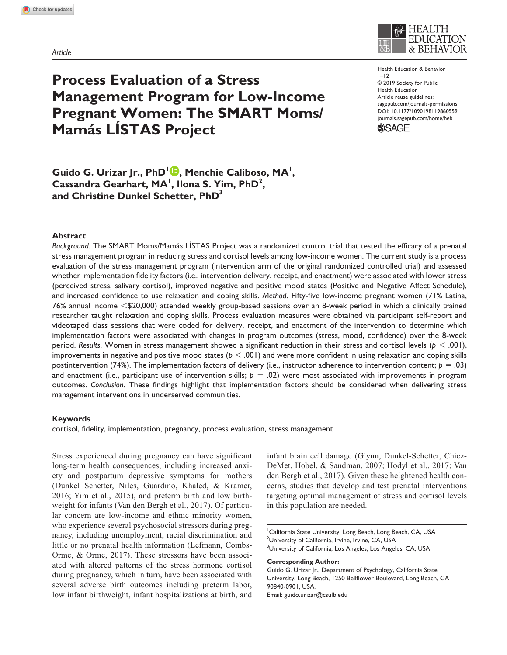*Article*



# **Process Evaluation of a Stress Management Program for Low-Income Pregnant Women: The SMART Moms/ Mamás LÍSTAS Project**

https://doi.org/10.1177/1090198119860559 DOI: 10.1177/1090198119860559 Health Education & Behavior  $1 - 12$ © 2019 Society for Public Health Education Article reuse guidelines: [sagepub.com/journals-permissions](https://us.sagepub.com/en-us/journals-permissions) [journals.sagepub.com/home/heb](https://journals.sagepub.com/home/heb)



**Guido G. Urizar Jr., PhD1 , Menchie Caliboso, MA1 ,**  Cassandra Gearhart, MA<sup>1</sup>, Ilona S. Yim, PhD<sup>2</sup>, **and Christine Dunkel Schetter, PhD3**

## **Abstract**

*Background*. The SMART Moms/Mamás LÍSTAS Project was a randomized control trial that tested the efficacy of a prenatal stress management program in reducing stress and cortisol levels among low-income women. The current study is a process evaluation of the stress management program (intervention arm of the original randomized controlled trial) and assessed whether implementation fidelity factors (i.e., intervention delivery, receipt, and enactment) were associated with lower stress (perceived stress, salivary cortisol), improved negative and positive mood states (Positive and Negative Affect Schedule), and increased confidence to use relaxation and coping skills. *Method*. Fifty-five low-income pregnant women (71% Latina, 76% annual income <\$20,000) attended weekly group-based sessions over an 8-week period in which a clinically trained researcher taught relaxation and coping skills. Process evaluation measures were obtained via participant self-report and videotaped class sessions that were coded for delivery, receipt, and enactment of the intervention to determine which implementation factors were associated with changes in program outcomes (stress, mood, confidence) over the 8-week period. *Results*. Women in stress management showed a significant reduction in their stress and cortisol levels (*p* < .001), improvements in negative and positive mood states ( $p < .001$ ) and were more confident in using relaxation and coping skills postintervention (74%). The implementation factors of delivery (i.e., instructor adherence to intervention content; *p* = .03) and enactment (i.e., participant use of intervention skills;  $p = .02$ ) were most associated with improvements in program outcomes. *Conclusion*. These findings highlight that implementation factors should be considered when delivering stress management interventions in underserved communities.

## **Keywords**

cortisol, fidelity, implementation, pregnancy, process evaluation, stress management

Stress experienced during pregnancy can have significant long-term health consequences, including increased anxiety and postpartum depressive symptoms for mothers (Dunkel Schetter, Niles, Guardino, Khaled, & Kramer, 2016; Yim et al., 2015), and preterm birth and low birthweight for infants (Van den Bergh et al., 2017). Of particular concern are low-income and ethnic minority women, who experience several psychosocial stressors during pregnancy, including unemployment, racial discrimination and little or no prenatal health information (Lefmann, Combs-Orme, & Orme, 2017). These stressors have been associated with altered patterns of the stress hormone cortisol during pregnancy, which in turn, have been associated with several adverse birth outcomes including preterm labor, low infant birthweight, infant hospitalizations at birth, and infant brain cell damage (Glynn, Dunkel-Schetter, Chicz-DeMet, Hobel, & Sandman, 2007; Hodyl et al., 2017; Van den Bergh et al., 2017). Given these heightened health concerns, studies that develop and test prenatal interventions targeting optimal management of stress and cortisol levels in this population are needed.

<sup>1</sup>California State University, Long Beach, Long Beach, CA, USA <sup>2</sup>University of California, Irvine, Irvine, CA, USA <sup>3</sup>University of California, Los Angeles, Los Angeles, CA, USA

**Corresponding Author:**

Guido G. Urizar Jr., Department of Psychology, California State University, Long Beach, 1250 Bellflower Boulevard, Long Beach, CA 90840-0901, USA. Email: [guido.urizar@csulb.edu](mailto:guido.urizar@csulb.edu)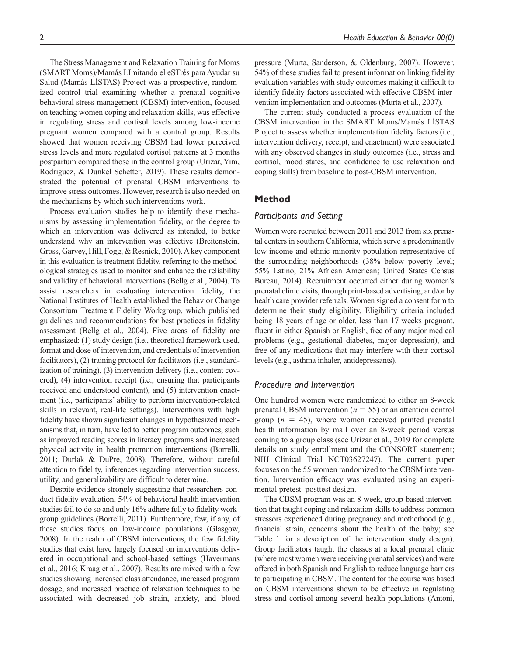The Stress Management and Relaxation Training for Moms (SMART Moms)/Mamás LImitando el eSTrés para Ayudar su Salud (Mamás LÍSTAS) Project was a prospective, randomized control trial examining whether a prenatal cognitive behavioral stress management (CBSM) intervention, focused on teaching women coping and relaxation skills, was effective in regulating stress and cortisol levels among low-income pregnant women compared with a control group. Results showed that women receiving CBSM had lower perceived stress levels and more regulated cortisol patterns at 3 months postpartum compared those in the control group (Urizar, Yim, Rodriguez, & Dunkel Schetter, 2019). These results demonstrated the potential of prenatal CBSM interventions to improve stress outcomes. However, research is also needed on the mechanisms by which such interventions work.

Process evaluation studies help to identify these mechanisms by assessing implementation fidelity, or the degree to which an intervention was delivered as intended, to better understand why an intervention was effective (Breitenstein, Gross, Garvey, Hill, Fogg, & Resnick, 2010). A key component in this evaluation is treatment fidelity, referring to the methodological strategies used to monitor and enhance the reliability and validity of behavioral interventions (Bellg et al., 2004). To assist researchers in evaluating intervention fidelity, the National Institutes of Health established the Behavior Change Consortium Treatment Fidelity Workgroup, which published guidelines and recommendations for best practices in fidelity assessment (Bellg et al., 2004). Five areas of fidelity are emphasized: (1) study design (i.e., theoretical framework used, format and dose of intervention, and credentials of intervention facilitators), (2) training protocol for facilitators (i.e., standardization of training), (3) intervention delivery (i.e., content covered), (4) intervention receipt (i.e., ensuring that participants received and understood content), and (5) intervention enactment (i.e., participants' ability to perform intervention-related skills in relevant, real-life settings). Interventions with high fidelity have shown significant changes in hypothesized mechanisms that, in turn, have led to better program outcomes, such as improved reading scores in literacy programs and increased physical activity in health promotion interventions (Borrelli, 2011; Durlak & DuPre, 2008). Therefore, without careful attention to fidelity, inferences regarding intervention success, utility, and generalizability are difficult to determine.

Despite evidence strongly suggesting that researchers conduct fidelity evaluation, 54% of behavioral health intervention studies fail to do so and only 16% adhere fully to fidelity workgroup guidelines (Borrelli, 2011). Furthermore, few, if any, of these studies focus on low-income populations (Glasgow, 2008). In the realm of CBSM interventions, the few fidelity studies that exist have largely focused on interventions delivered in occupational and school-based settings (Havermans et al., 2016; Kraag et al., 2007). Results are mixed with a few studies showing increased class attendance, increased program dosage, and increased practice of relaxation techniques to be associated with decreased job strain, anxiety, and blood

pressure (Murta, Sanderson, & Oldenburg, 2007). However, 54% of these studies fail to present information linking fidelity evaluation variables with study outcomes making it difficult to identify fidelity factors associated with effective CBSM intervention implementation and outcomes (Murta et al., 2007).

The current study conducted a process evaluation of the CBSM intervention in the SMART Moms/Mamás LÍSTAS Project to assess whether implementation fidelity factors (i.e., intervention delivery, receipt, and enactment) were associated with any observed changes in study outcomes (i.e., stress and cortisol, mood states, and confidence to use relaxation and coping skills) from baseline to post-CBSM intervention.

# **Method**

## *Participants and Setting*

Women were recruited between 2011 and 2013 from six prenatal centers in southern California, which serve a predominantly low-income and ethnic minority population representative of the surrounding neighborhoods (38% below poverty level; 55% Latino, 21% African American; United States Census Bureau, 2014). Recruitment occurred either during women's prenatal clinic visits, through print-based advertising, and/or by health care provider referrals. Women signed a consent form to determine their study eligibility. Eligibility criteria included being 18 years of age or older, less than 17 weeks pregnant, fluent in either Spanish or English, free of any major medical problems (e.g., gestational diabetes, major depression), and free of any medications that may interfere with their cortisol levels (e.g., asthma inhaler, antidepressants).

## *Procedure and Intervention*

One hundred women were randomized to either an 8-week prenatal CBSM intervention (*n* = 55) or an attention control group  $(n = 45)$ , where women received printed prenatal health information by mail over an 8-week period versus coming to a group class (see Urizar et al., 2019 for complete details on study enrollment and the CONSORT statement; NIH Clinical Trial NCT03627247). The current paper focuses on the 55 women randomized to the CBSM intervention. Intervention efficacy was evaluated using an experimental pretest–posttest design.

The CBSM program was an 8-week, group-based intervention that taught coping and relaxation skills to address common stressors experienced during pregnancy and motherhood (e.g., financial strain, concerns about the health of the baby; see Table 1 for a description of the intervention study design). Group facilitators taught the classes at a local prenatal clinic (where most women were receiving prenatal services) and were offered in both Spanish and English to reduce language barriers to participating in CBSM. The content for the course was based on CBSM interventions shown to be effective in regulating stress and cortisol among several health populations (Antoni,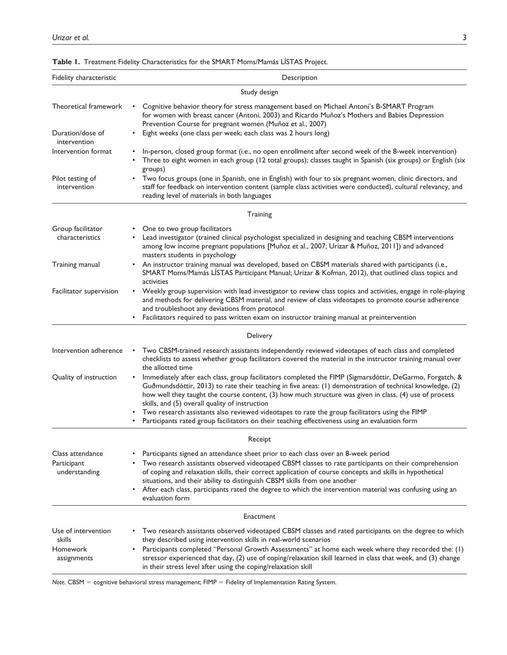| Fidelity characteristic                                  | Description                                                                                                                                                                                                                                                                                                                                                                                                                                                                                                        |  |  |  |  |  |  |
|----------------------------------------------------------|--------------------------------------------------------------------------------------------------------------------------------------------------------------------------------------------------------------------------------------------------------------------------------------------------------------------------------------------------------------------------------------------------------------------------------------------------------------------------------------------------------------------|--|--|--|--|--|--|
|                                                          | Study design                                                                                                                                                                                                                                                                                                                                                                                                                                                                                                       |  |  |  |  |  |  |
| Theoretical framework                                    | Cognitive behavior theory for stress management based on Michael Antoni's B-SMART Program<br>for women with breast cancer (Antoni, 2003) and Ricardo Muñoz's Mothers and Babies Depression<br>Prevention Course for pregnant women (Muñoz et al., 2007)                                                                                                                                                                                                                                                            |  |  |  |  |  |  |
| Duration/dose of<br>intervention                         | Eight weeks (one class per week; each class was 2 hours long)                                                                                                                                                                                                                                                                                                                                                                                                                                                      |  |  |  |  |  |  |
| Intervention format                                      | In-person, closed group format (i.e., no open enrollment after second week of the 8-week intervention)<br>Three to eight women in each group (12 total groups); classes taught in Spanish (six groups) or English (six<br>groups)                                                                                                                                                                                                                                                                                  |  |  |  |  |  |  |
| Pilot testing of<br>intervention                         | Two focus groups (one in Spanish, one in English) with four to six pregnant women, clinic directors, and<br>$\bullet$<br>staff for feedback on intervention content (sample class activities were conducted), cultural relevancy, and<br>reading level of materials in both languages                                                                                                                                                                                                                              |  |  |  |  |  |  |
|                                                          | Training                                                                                                                                                                                                                                                                                                                                                                                                                                                                                                           |  |  |  |  |  |  |
| Group facilitator<br>characteristics                     | One to two group facilitators<br>Lead investigator (trained clinical psychologist specialized in designing and teaching CBSM interventions<br>among low income pregnant populations [Muñoz et al., 2007; Urizar & Muñoz, 2011]) and advanced<br>masters students in psychology                                                                                                                                                                                                                                     |  |  |  |  |  |  |
| Training manual                                          | An instructor training manual was developed, based on CBSM materials shared with participants (i.e.,<br>SMART Moms/Mamás LÍSTAS Participant Manual; Urizar & Kofman, 2012), that outlined class topics and<br>activities                                                                                                                                                                                                                                                                                           |  |  |  |  |  |  |
| Facilitator supervision                                  | • Weekly group supervision with lead investigator to review class topics and activities, engage in role-playing<br>and methods for delivering CBSM material, and review of class videotapes to promote course adherence<br>and troubleshoot any deviations from protocol                                                                                                                                                                                                                                           |  |  |  |  |  |  |
|                                                          | Facilitators required to pass written exam on instructor training manual at preintervention<br>٠                                                                                                                                                                                                                                                                                                                                                                                                                   |  |  |  |  |  |  |
|                                                          | Delivery                                                                                                                                                                                                                                                                                                                                                                                                                                                                                                           |  |  |  |  |  |  |
| Intervention adherence                                   | Two CBSM-trained research assistants independently reviewed videotapes of each class and completed<br>checklists to assess whether group facilitators covered the material in the instructor training manual over<br>the allotted time                                                                                                                                                                                                                                                                             |  |  |  |  |  |  |
| Quality of instruction                                   | Immediately after each class, group facilitators completed the FIMP (Sigmarsdóttir, DeGarmo, Forgatch, &<br>Guðmundsdóttir, 2013) to rate their teaching in five areas: (1) demonstration of technical knowledge, (2)<br>how well they taught the course content, (3) how much structure was given in class, (4) use of process<br>skills, and (5) overall quality of instruction<br>Two research assistants also reviewed videotapes to rate the group facilitators using the FIMP                                |  |  |  |  |  |  |
|                                                          | Participants rated group facilitators on their teaching effectiveness using an evaluation form                                                                                                                                                                                                                                                                                                                                                                                                                     |  |  |  |  |  |  |
|                                                          | Receipt                                                                                                                                                                                                                                                                                                                                                                                                                                                                                                            |  |  |  |  |  |  |
| Class attendance<br>Participant<br>understanding         | Participants signed an attendance sheet prior to each class over an 8-week period<br>Two research assistants observed videotaped CBSM classes to rate participants on their comprehension<br>of coping and relaxation skills, their correct application of course concepts and skills in hypothetical<br>situations, and their ability to distinguish CBSM skills from one another<br>After each class, participants rated the degree to which the intervention material was confusing using an<br>evaluation form |  |  |  |  |  |  |
|                                                          | Enactment                                                                                                                                                                                                                                                                                                                                                                                                                                                                                                          |  |  |  |  |  |  |
| Use of intervention<br>skills<br>Homework<br>assignments | Two research assistants observed videotaped CBSM classes and rated participants on the degree to which<br>they described using intervention skills in real-world scenarios<br>Participants completed "Personal Growth Assessments" at home each week where they recorded the: (1)<br>stressor experienced that day, (2) use of coping/relaxation skill learned in class that week, and (3) change<br>in their stress level after using the coping/relaxation skill                                                 |  |  |  |  |  |  |

# **Table 1.** Treatment Fidelity Characteristics for the SMART Moms/Mamás LÍSTAS Project.

*Note*. CBSM = cognitive behavioral stress management; FIMP = Fidelity of Implementation Rating System.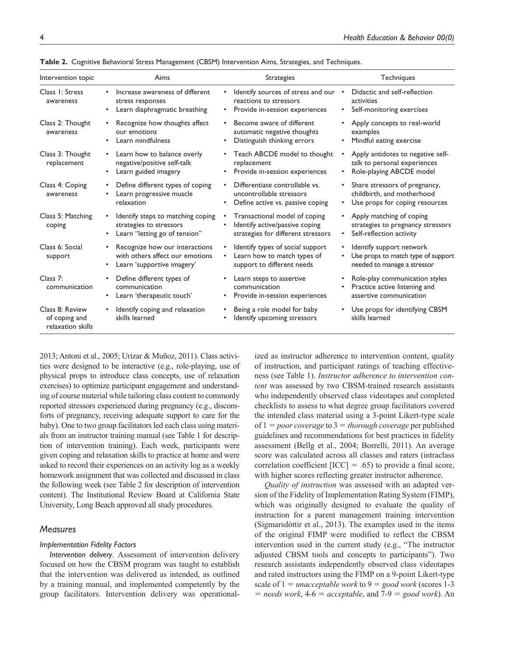| Intervention topic                                    | Aims                                                                                                                    | <b>Strategies</b>                                                                                             | Techniques                                                                                                              |
|-------------------------------------------------------|-------------------------------------------------------------------------------------------------------------------------|---------------------------------------------------------------------------------------------------------------|-------------------------------------------------------------------------------------------------------------------------|
| Class 1: Stress<br>awareness                          | Increase awareness of different<br>$\bullet$<br>stress responses<br>Learn diaphragmatic breathing<br>٠                  | ldentify sources of stress and our •<br>reactions to stressors<br>Provide in-session experiences<br>$\bullet$ | Didactic and self-reflection<br>activities<br>Self-monitoring exercises<br>$\bullet$                                    |
| Class 2: Thought<br>awareness                         | Recognize how thoughts affect<br>our emotions<br>Learn mindfulness<br>$\bullet$                                         | Become aware of different<br>automatic negative thoughts<br>Distinguish thinking errors                       | Apply concepts to real-world<br>$\bullet$<br>examples<br>Mindful eating exercise<br>$\bullet$                           |
| Class 3: Thought<br>replacement                       | • Learn how to balance overly<br>negative/positive self-talk<br>Learn guided imagery<br>$\bullet$                       | • Teach ABCDE model to thought<br>replacement<br>Provide in-session experiences<br>$\bullet$                  | Apply antidotes to negative self-<br>talk to personal experiences<br>Role-playing ABCDE model<br>٠                      |
| Class 4: Coping<br>awareness                          | Define different types of coping<br>٠<br>Learn progressive muscle<br>relaxation                                         | Differentiate controllable vs.<br>uncontrollable stressors<br>Define active vs. passive coping                | Share stressors of pregnancy,<br>$\bullet$<br>childbirth, and motherhood<br>Use props for coping resources<br>$\bullet$ |
| Class 5: Matching<br>coping                           | Identify steps to matching coping<br>$\bullet$<br>strategies to stressors<br>Learn "letting go of tension"<br>$\bullet$ | Transactional model of coping<br>Identify active/passive coping<br>strategies for different stressors         | Apply matching of coping<br>$\bullet$<br>strategies to pregnancy stressors<br>Self-reflection activity<br>$\bullet$     |
| Class 6: Social<br>support                            | Recognize how our interactions<br>٠<br>with others affect our emotions<br>Learn 'supportive imagery'<br>٠               | Identify types of social support<br>$\bullet$<br>Learn how to match types of<br>support to different needs    | Identify support network<br>$\bullet$<br>Use props to match type of support<br>needed to manage a stressor              |
| Class 7:<br>communication                             | Define different types of<br>communication<br>Learn 'therapeutic touch'<br>$\bullet$                                    | Learn steps to assertive<br>$\bullet$<br>communication<br>Provide in-session experiences                      | Role-play communication styles<br>٠<br>Practice active listening and<br>$\bullet$<br>assertive communication            |
| Class 8: Review<br>of coping and<br>relaxation skills | Identify coping and relaxation<br>skills learned                                                                        | Being a role model for baby<br>Identify upcoming stressors<br>$\bullet$                                       | Use props for identifying CBSM<br>$\bullet$<br>skills learned                                                           |

**Table 2.** Cognitive Behavioral Stress Management (CBSM) Intervention Aims, Strategies, and Techniques.

2013; Antoni et al., 2005; Urizar & Muñoz, 2011). Class activities were designed to be interactive (e.g., role-playing, use of physical props to introduce class concepts, use of relaxation exercises) to optimize participant engagement and understanding of course material while tailoring class content to commonly reported stressors experienced during pregnancy (e.g., discomforts of pregnancy, receiving adequate support to care for the baby). One to two group facilitators led each class using materials from an instructor training manual (see Table 1 for description of intervention training). Each week, participants were given coping and relaxation skills to practice at home and were asked to record their experiences on an activity log as a weekly homework assignment that was collected and discussed in class the following week (see Table 2 for description of intervention content). The Institutional Review Board at California State University, Long Beach approved all study procedures.

## *Measures*

#### *Implementation Fidelity Factors*

*Intervention delivery*. Assessment of intervention delivery focused on how the CBSM program was taught to establish that the intervention was delivered as intended, as outlined by a training manual, and implemented competently by the group facilitators. Intervention delivery was operational-

ized as instructor adherence to intervention content, quality of instruction, and participant ratings of teaching effectiveness (see Table 1). *Instructor adherence to intervention content* was assessed by two CBSM-trained research assistants who independently observed class videotapes and completed checklists to assess to what degree group facilitators covered the intended class material using a 3-point Likert-type scale of 1 = *poor coverage* to 3 = *thorough coverage* per published guidelines and recommendations for best practices in fidelity assessment (Bellg et al., 2004; Borrelli, 2011). An average score was calculated across all classes and raters (intraclass correlation coefficient  $[ICC] = .65$ ) to provide a final score, with higher scores reflecting greater instructor adherence.

*Quality of instruction* was assessed with an adapted version of the Fidelity of Implementation Rating System (FIMP), which was originally designed to evaluate the quality of instruction for a parent management training intervention (Sigmarsdóttir et al., 2013). The examples used in the items of the original FIMP were modified to reflect the CBSM intervention used in the current study (e.g., "The instructor adjusted CBSM tools and concepts to participants"). Two research assistants independently observed class videotapes and rated instructors using the FIMP on a 9-point Likert-type scale of 1 = *unacceptable work* to 9 = *good work* (scores 1-3  $=$  *needs work*,  $4-6 =$  *acceptable*, and  $7-9 =$  *good work*). An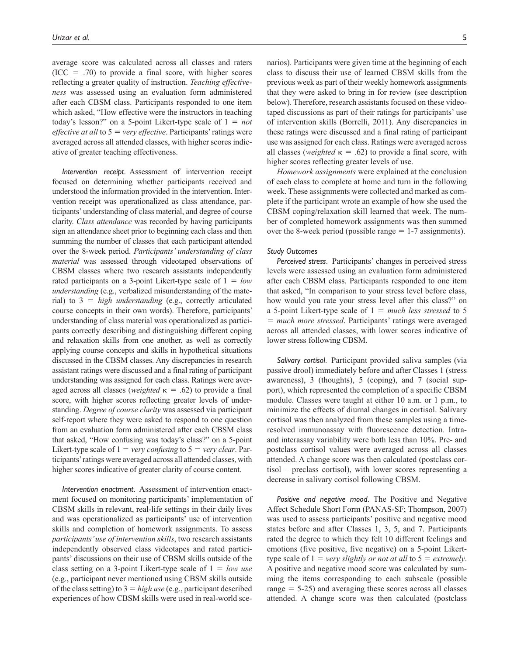average score was calculated across all classes and raters  $(ICC = .70)$  to provide a final score, with higher scores reflecting a greater quality of instruction. *Teaching effectiveness* was assessed using an evaluation form administered after each CBSM class. Participants responded to one item which asked, "How effective were the instructors in teaching today's lesson?" on a 5-point Likert-type scale of 1 = *not effective at all* to 5 = *very effective*. Participants' ratings were averaged across all attended classes, with higher scores indicative of greater teaching effectiveness.

*Intervention receipt*. Assessment of intervention receipt focused on determining whether participants received and understood the information provided in the intervention. Intervention receipt was operationalized as class attendance, participants' understanding of class material, and degree of course clarity. *Class attendance* was recorded by having participants sign an attendance sheet prior to beginning each class and then summing the number of classes that each participant attended over the 8-week period. *Participants' understanding of class material* was assessed through videotaped observations of CBSM classes where two research assistants independently rated participants on a 3-point Likert-type scale of 1 = *low understanding* (e.g., verbalized misunderstanding of the material) to 3 = *high understanding* (e.g., correctly articulated course concepts in their own words). Therefore, participants' understanding of class material was operationalized as participants correctly describing and distinguishing different coping and relaxation skills from one another, as well as correctly applying course concepts and skills in hypothetical situations discussed in the CBSM classes. Any discrepancies in research assistant ratings were discussed and a final rating of participant understanding was assigned for each class. Ratings were averaged across all classes (*weighted*  $\kappa = .62$ ) to provide a final score, with higher scores reflecting greater levels of understanding. *Degree of course clarity* was assessed via participant self-report where they were asked to respond to one question from an evaluation form administered after each CBSM class that asked, "How confusing was today's class?" on a 5-point Likert-type scale of  $1 = \text{very confusing}$  to  $5 = \text{very clear}$ . Participants' ratings were averaged across all attended classes, with higher scores indicative of greater clarity of course content.

*Intervention enactment*. Assessment of intervention enactment focused on monitoring participants' implementation of CBSM skills in relevant, real-life settings in their daily lives and was operationalized as participants' use of intervention skills and completion of homework assignments. To assess *participants' use of intervention skills*, two research assistants independently observed class videotapes and rated participants' discussions on their use of CBSM skills outside of the class setting on a 3-point Likert-type scale of 1 = *low use* (e.g., participant never mentioned using CBSM skills outside of the class setting) to 3 = *high use* (e.g., participant described experiences of how CBSM skills were used in real-world scenarios). Participants were given time at the beginning of each class to discuss their use of learned CBSM skills from the previous week as part of their weekly homework assignments that they were asked to bring in for review (see description below). Therefore, research assistants focused on these videotaped discussions as part of their ratings for participants' use of intervention skills (Borrelli, 2011). Any discrepancies in these ratings were discussed and a final rating of participant use was assigned for each class. Ratings were averaged across all classes (*weighted*  $\kappa = .62$ ) to provide a final score, with higher scores reflecting greater levels of use.

*Homework assignments* were explained at the conclusion of each class to complete at home and turn in the following week. These assignments were collected and marked as complete if the participant wrote an example of how she used the CBSM coping/relaxation skill learned that week. The number of completed homework assignments was then summed over the 8-week period (possible range  $= 1-7$  assignments).

## *Study Outcomes*

*Perceived stress*. Participants' changes in perceived stress levels were assessed using an evaluation form administered after each CBSM class. Participants responded to one item that asked, "In comparison to your stress level before class, how would you rate your stress level after this class?" on a 5-point Likert-type scale of 1 = *much less stressed* to 5 = *much more stressed*. Participants' ratings were averaged across all attended classes, with lower scores indicative of lower stress following CBSM.

*Salivary cortisol*. Participant provided saliva samples (via passive drool) immediately before and after Classes 1 (stress awareness), 3 (thoughts), 5 (coping), and 7 (social support), which represented the completion of a specific CBSM module. Classes were taught at either 10 a.m. or 1 p.m., to minimize the effects of diurnal changes in cortisol. Salivary cortisol was then analyzed from these samples using a timeresolved immunoassay with fluorescence detection. Intraand interassay variability were both less than 10%. Pre- and postclass cortisol values were averaged across all classes attended. A change score was then calculated (postclass cortisol – preclass cortisol), with lower scores representing a decrease in salivary cortisol following CBSM.

*Positive and negative mood*. The Positive and Negative Affect Schedule Short Form (PANAS-SF; Thompson, 2007) was used to assess participants' positive and negative mood states before and after Classes 1, 3, 5, and 7. Participants rated the degree to which they felt 10 different feelings and emotions (five positive, five negative) on a 5-point Likerttype scale of 1 = *very slightly or not at all* to 5 = *extremely*. A positive and negative mood score was calculated by summing the items corresponding to each subscale (possible range  $=$  5-25) and averaging these scores across all classes attended. A change score was then calculated (postclass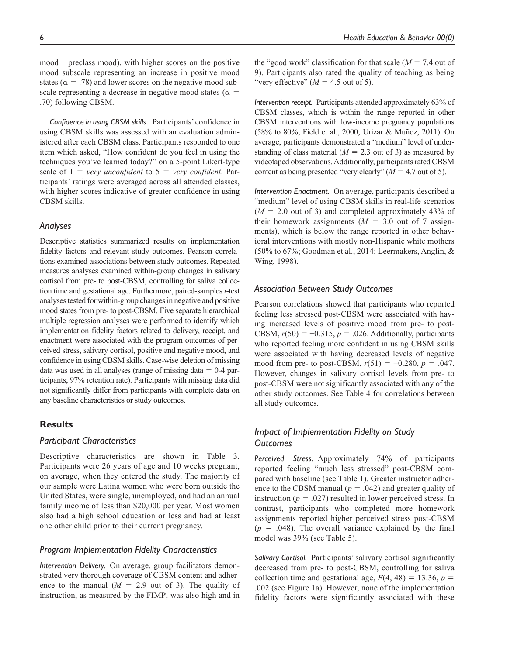mood – preclass mood), with higher scores on the positive mood subscale representing an increase in positive mood states ( $\alpha = .78$ ) and lower scores on the negative mood subscale representing a decrease in negative mood states ( $\alpha$  = .70) following CBSM.

*Confidence in using CBSM skills*. Participants' confidence in using CBSM skills was assessed with an evaluation administered after each CBSM class. Participants responded to one item which asked, "How confident do you feel in using the techniques you've learned today?" on a 5-point Likert-type scale of 1 = *very unconfident* to 5 = *very confident*. Participants' ratings were averaged across all attended classes, with higher scores indicative of greater confidence in using CBSM skills.

## *Analyses*

Descriptive statistics summarized results on implementation fidelity factors and relevant study outcomes. Pearson correlations examined associations between study outcomes. Repeated measures analyses examined within-group changes in salivary cortisol from pre- to post-CBSM, controlling for saliva collection time and gestational age. Furthermore, paired-samples *t*-test analyses tested for within-group changes in negative and positive mood states from pre- to post-CBSM. Five separate hierarchical multiple regression analyses were performed to identify which implementation fidelity factors related to delivery, receipt, and enactment were associated with the program outcomes of perceived stress, salivary cortisol, positive and negative mood, and confidence in using CBSM skills. Case-wise deletion of missing data was used in all analyses (range of missing data  $= 0-4$  participants; 97% retention rate). Participants with missing data did not significantly differ from participants with complete data on any baseline characteristics or study outcomes.

# **Results**

## *Participant Characteristics*

Descriptive characteristics are shown in Table 3. Participants were 26 years of age and 10 weeks pregnant, on average, when they entered the study. The majority of our sample were Latina women who were born outside the United States, were single, unemployed, and had an annual family income of less than \$20,000 per year. Most women also had a high school education or less and had at least one other child prior to their current pregnancy.

## *Program Implementation Fidelity Characteristics*

*Intervention Delivery.* On average, group facilitators demonstrated very thorough coverage of CBSM content and adherence to the manual  $(M = 2.9$  out of 3). The quality of instruction, as measured by the FIMP, was also high and in

the "good work" classification for that scale  $(M = 7.4$  out of 9). Participants also rated the quality of teaching as being "very effective"  $(M = 4.5$  out of 5).

*Intervention receipt.* Participants attended approximately 63% of CBSM classes, which is within the range reported in other CBSM interventions with low-income pregnancy populations (58% to 80%; Field et al., 2000; Urizar & Muñoz, 2011). On average, participants demonstrated a "medium" level of understanding of class material  $(M = 2.3$  out of 3) as measured by videotaped observations. Additionally, participants rated CBSM content as being presented "very clearly"  $(M = 4.7 \text{ out of } 5)$ .

*Intervention Enactment.* On average, participants described a "medium" level of using CBSM skills in real-life scenarios  $(M = 2.0$  out of 3) and completed approximately 43% of their homework assignments  $(M = 3.0$  out of 7 assignments), which is below the range reported in other behavioral interventions with mostly non-Hispanic white mothers (50% to 67%; Goodman et al., 2014; Leermakers, Anglin, & Wing, 1998).

## *Association Between Study Outcomes*

Pearson correlations showed that participants who reported feeling less stressed post-CBSM were associated with having increased levels of positive mood from pre- to post-CBSM,  $r(50) = -0.315$ ,  $p = .026$ . Additionally, participants who reported feeling more confident in using CBSM skills were associated with having decreased levels of negative mood from pre- to post-CBSM, *r*(51) = −0.280, *p* = .047. However, changes in salivary cortisol levels from pre- to post-CBSM were not significantly associated with any of the other study outcomes. See Table 4 for correlations between all study outcomes.

# *Impact of Implementation Fidelity on Study Outcomes*

*Perceived Stress.* Approximately 74% of participants reported feeling "much less stressed" post-CBSM compared with baseline (see Table 1). Greater instructor adherence to the CBSM manual ( $p = .042$ ) and greater quality of instruction ( $p = .027$ ) resulted in lower perceived stress. In contrast, participants who completed more homework assignments reported higher perceived stress post-CBSM  $(p = .048)$ . The overall variance explained by the final model was 39% (see Table 5).

*Salivary Cortisol.* Participants' salivary cortisol significantly decreased from pre- to post-CBSM, controlling for saliva collection time and gestational age,  $F(4, 48) = 13.36$ ,  $p =$ .002 (see Figure 1a). However, none of the implementation fidelity factors were significantly associated with these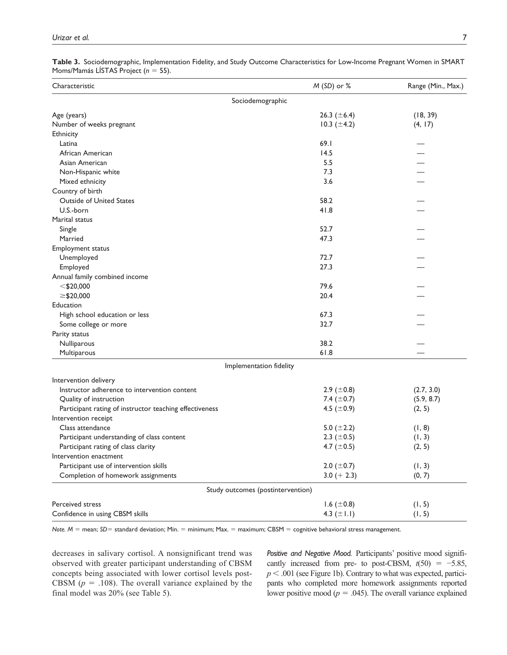| Characteristic                                          | M (SD) or %      | Range (Min., Max.) |
|---------------------------------------------------------|------------------|--------------------|
| Sociodemographic                                        |                  |                    |
| Age (years)                                             | 26.3 $(\pm 6.4)$ | (18, 39)           |
| Number of weeks pregnant                                | 10.3 $(\pm 4.2)$ | (4, 17)            |
| Ethnicity                                               |                  |                    |
| Latina                                                  | 69.1             |                    |
| African American                                        | 14.5             |                    |
| Asian American                                          | 5.5              |                    |
| Non-Hispanic white                                      | 7.3              |                    |
| Mixed ethnicity                                         | 3.6              |                    |
| Country of birth                                        |                  |                    |
| Outside of United States                                | 58.2             |                    |
| U.S.-born                                               | 41.8             |                    |
| Marital status                                          |                  |                    |
| Single                                                  | 52.7             |                    |
| Married                                                 | 47.3             |                    |
| Employment status                                       |                  |                    |
| Unemployed                                              | 72.7             |                    |
| Employed                                                | 27.3             |                    |
| Annual family combined income                           |                  |                    |
| $<$ \$20,000                                            | 79.6             |                    |
| $\geq$ \$20,000                                         | 20.4             |                    |
| Education                                               |                  |                    |
|                                                         | 67.3             |                    |
| High school education or less                           | 32.7             |                    |
| Some college or more                                    |                  |                    |
| Parity status                                           | 38.2             |                    |
| Nulliparous                                             | 61.8             |                    |
| Multiparous<br>Implementation fidelity                  |                  |                    |
|                                                         |                  |                    |
| Intervention delivery                                   |                  |                    |
| Instructor adherence to intervention content            | 2.9 $(\pm 0.8)$  | (2.7, 3.0)         |
| Quality of instruction                                  | 7.4 $(\pm 0.7)$  | (5.9, 8.7)         |
| Participant rating of instructor teaching effectiveness | 4.5 $(\pm 0.9)$  | (2, 5)             |
| Intervention receipt                                    |                  |                    |
| Class attendance                                        | 5.0 $(\pm 2.2)$  | (1, 8)             |
| Participant understanding of class content              | 2.3 $(\pm 0.5)$  | (1, 3)             |
| Participant rating of class clarity                     | 4.7 $(\pm 0.5)$  | (2, 5)             |
| Intervention enactment                                  |                  |                    |
| Participant use of intervention skills                  | 2.0 $(\pm 0.7)$  | (1, 3)             |
| Completion of homework assignments                      | $3.0 (+ 2.3)$    | (0, 7)             |
| Study outcomes (postintervention)                       |                  |                    |
| Perceived stress                                        | 1.6 $(\pm 0.8)$  | (1, 5)             |
| Confidence in using CBSM skills                         | 4.3 $(\pm 1.1)$  | (1, 5)             |

**Table 3.** Sociodemographic, Implementation Fidelity, and Study Outcome Characteristics for Low-Income Pregnant Women in SMART Moms/Mamás LÍSTAS Project (*n* = 55).

*Note.*  $M =$  mean; *SD*= standard deviation; Min. = minimum; Max. = maximum; CBSM = cognitive behavioral stress management.

decreases in salivary cortisol. A nonsignificant trend was observed with greater participant understanding of CBSM concepts being associated with lower cortisol levels post-CBSM  $(p = .108)$ . The overall variance explained by the final model was 20% (see Table 5).

*Positive and Negative Mood.* Participants' positive mood significantly increased from pre- to post-CBSM,  $t(50) = -5.85$ ,  $p < .001$  (see Figure 1b). Contrary to what was expected, participants who completed more homework assignments reported lower positive mood ( $p = .045$ ). The overall variance explained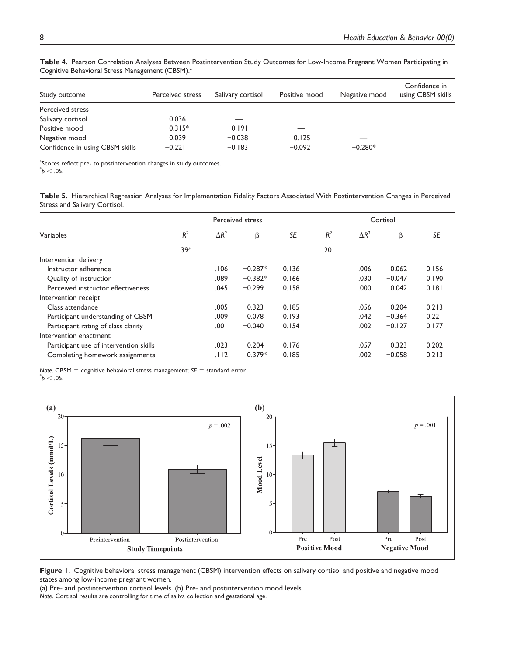| Study outcome                   | Perceived stress | Salivary cortisol | Positive mood | Negative mood | Confidence in<br>using CBSM skills |
|---------------------------------|------------------|-------------------|---------------|---------------|------------------------------------|
| Perceived stress                |                  |                   |               |               |                                    |
| Salivary cortisol               | 0.036            |                   |               |               |                                    |
| Positive mood                   | $-0.315*$        | $-0.191$          |               |               |                                    |
| Negative mood                   | 0.039            | $-0.038$          | 0.125         |               |                                    |
| Confidence in using CBSM skills | $-0.221$         | $-0.183$          | $-0.092$      | $-0.280*$     |                                    |

**Table 4.** Pearson Correlation Analyses Between Postintervention Study Outcomes for Low-Income Pregnant Women Participating in Cognitive Behavioral Stress Management (CBSM).<sup>a</sup>

<sup>a</sup>Scores reflect pre- to postintervention changes in study outcomes.

 $p<.05$ .

**Table 5.** Hierarchical Regression Analyses for Implementation Fidelity Factors Associated With Postintervention Changes in Perceived Stress and Salivary Cortisol.

|                                        |       |              | Perceived stress |           | Cortisol |              |          |           |  |
|----------------------------------------|-------|--------------|------------------|-----------|----------|--------------|----------|-----------|--|
| Variables                              | $R^2$ | $\Delta R^2$ | β                | <b>SE</b> | $R^2$    | $\Delta R^2$ | β        | <b>SE</b> |  |
|                                        | .39*  |              |                  |           | .20      |              |          |           |  |
| Intervention delivery                  |       |              |                  |           |          |              |          |           |  |
| Instructor adherence                   |       | .106         | $-0.287*$        | 0.136     |          | .006         | 0.062    | 0.156     |  |
| Quality of instruction                 |       | .089         | $-0.382*$        | 0.166     |          | .030         | $-0.047$ | 0.190     |  |
| Perceived instructor effectiveness     |       | .045         | $-0.299$         | 0.158     |          | .000         | 0.042    | 0.181     |  |
| Intervention receipt                   |       |              |                  |           |          |              |          |           |  |
| Class attendance                       |       | .005         | $-0.323$         | 0.185     |          | .056         | $-0.204$ | 0.213     |  |
| Participant understanding of CBSM      |       | .009         | 0.078            | 0.193     |          | .042         | $-0.364$ | 0.221     |  |
| Participant rating of class clarity    |       | 100.         | $-0.040$         | 0.154     |          | .002         | $-0.127$ | 0.177     |  |
| Intervention enactment                 |       |              |                  |           |          |              |          |           |  |
| Participant use of intervention skills |       | .023         | 0.204            | 0.176     |          | .057         | 0.323    | 0.202     |  |
| Completing homework assignments        |       | .। । 2       | $0.379*$         | 0.185     |          | .002         | $-0.058$ | 0.213     |  |

*Note.* CBSM = cognitive behavioral stress management; *SE* = standard error.  $p^*$  < .05.





(a) Pre- and postintervention cortisol levels. (b) Pre- and postintervention mood levels.

*Note*. Cortisol results are controlling for time of saliva collection and gestational age.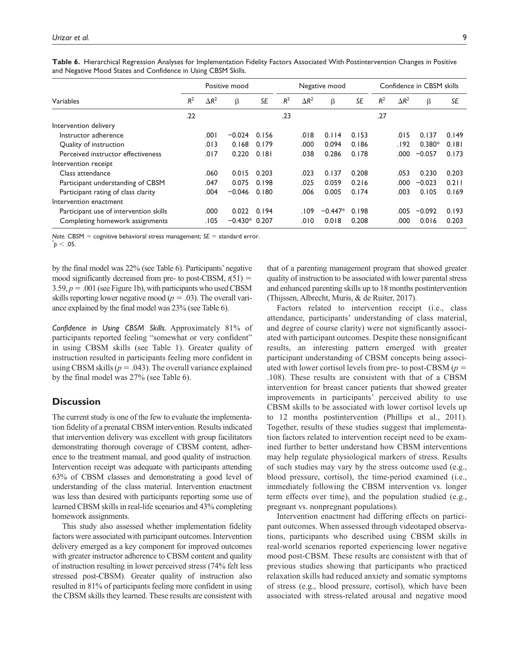|                                        | Positive mood |              |                | Negative mood |       |              |           | Confidence in CBSM skills |       |              |          |           |
|----------------------------------------|---------------|--------------|----------------|---------------|-------|--------------|-----------|---------------------------|-------|--------------|----------|-----------|
| Variables                              | $R^2$         | $\Delta R^2$ | β              | <b>SE</b>     | $R^2$ | $\Delta R^2$ | β         | <b>SE</b>                 | $R^2$ | $\Delta R^2$ | β        | <b>SE</b> |
|                                        | .22           |              |                |               | .23   |              |           |                           | .27   |              |          |           |
| Intervention delivery                  |               |              |                |               |       |              |           |                           |       |              |          |           |
| Instructor adherence                   |               | ا 00.        | $-0.024$       | 0.156         |       | .018         | 0.114     | 0.153                     |       | .015         | 0.137    | 0.149     |
| Quality of instruction                 |               | .013         | 0.168          | 0.179         |       | .000         | 0.094     | 0.186                     |       | .192         | $0.380*$ | 0.181     |
| Perceived instructor effectiveness     |               | .017         | 0.220          | 0.181         |       | .038         | 0.286     | 0.178                     |       | .000         | $-0.057$ | 0.173     |
| Intervention receipt                   |               |              |                |               |       |              |           |                           |       |              |          |           |
| Class attendance                       |               | .060         | 0.015          | 0.203         |       | .023         | 0.137     | 0.208                     |       | .053         | 0.230    | 0.203     |
| Participant understanding of CBSM      |               | .047         | 0.075          | 0.198         |       | .025         | 0.059     | 0.216                     |       | .000         | $-0.023$ | 0.211     |
| Participant rating of class clarity    |               | .004         | $-0.046$       | 0.180         |       | .006         | 0.005     | 0.174                     |       | .003         | 0.105    | 0.169     |
| Intervention enactment                 |               |              |                |               |       |              |           |                           |       |              |          |           |
| Participant use of intervention skills |               | .000         | 0.022          | 0.194         |       | .109         | $-0.447*$ | 0.198                     |       | .005         | $-0.092$ | 0.193     |
| Completing homework assignments        |               | .105         | $-0.430*0.207$ |               |       | .010         | 0.018     | 0.208                     |       | .000         | 0.016    | 0.203     |

**Table 6.** Hierarchical Regression Analyses for Implementation Fidelity Factors Associated With Postintervention Changes in Positive and Negative Mood States and Confidence in Using CBSM Skills.

*Note.* CBSM = cognitive behavioral stress management; *SE* = standard error.

by the final model was 22% (see Table 6). Participants' negative mood significantly decreased from pre- to post-CBSM, *t*(51) = 3.59,  $p = .001$  (see Figure 1b), with participants who used CBSM skills reporting lower negative mood ( $p = .03$ ). The overall variance explained by the final model was 23% (see Table 6).

*Confidence in Using CBSM Skills.* Approximately 81% of participants reported feeling "somewhat or very confident" in using CBSM skills (see Table 1). Greater quality of instruction resulted in participants feeling more confident in using CBSM skills ( $p = .043$ ). The overall variance explained by the final model was 27% (see Table 6).

## **Discussion**

The current study is one of the few to evaluate the implementation fidelity of a prenatal CBSM intervention. Results indicated that intervention delivery was excellent with group facilitators demonstrating thorough coverage of CBSM content, adherence to the treatment manual, and good quality of instruction. Intervention receipt was adequate with participants attending 63% of CBSM classes and demonstrating a good level of understanding of the class material. Intervention enactment was less than desired with participants reporting some use of learned CBSM skills in real-life scenarios and 43% completing homework assignments.

This study also assessed whether implementation fidelity factors were associated with participant outcomes. Intervention delivery emerged as a key component for improved outcomes with greater instructor adherence to CBSM content and quality of instruction resulting in lower perceived stress (74% felt less stressed post-CBSM). Greater quality of instruction also resulted in 81% of participants feeling more confident in using the CBSM skills they learned. These results are consistent with

that of a parenting management program that showed greater quality of instruction to be associated with lower parental stress and enhanced parenting skills up to 18 months postintervention (Thijssen, Albrecht, Muris, & de Ruiter, 2017).

Factors related to intervention receipt (i.e., class attendance, participants' understanding of class material, and degree of course clarity) were not significantly associated with participant outcomes. Despite these nonsignificant results, an interesting pattern emerged with greater participant understanding of CBSM concepts being associated with lower cortisol levels from pre- to post-CBSM (*p* = .108). These results are consistent with that of a CBSM intervention for breast cancer patients that showed greater improvements in participants' perceived ability to use CBSM skills to be associated with lower cortisol levels up to 12 months postintervention (Phillips et al., 2011). Together, results of these studies suggest that implementation factors related to intervention receipt need to be examined further to better understand how CBSM interventions may help regulate physiological markers of stress. Results of such studies may vary by the stress outcome used (e.g., blood pressure, cortisol), the time-period examined (i.e., immediately following the CBSM intervention vs. longer term effects over time), and the population studied (e.g., pregnant vs. nonpregnant populations).

Intervention enactment had differing effects on participant outcomes. When assessed through videotaped observations, participants who described using CBSM skills in real-world scenarios reported experiencing lower negative mood post-CBSM. These results are consistent with that of previous studies showing that participants who practiced relaxation skills had reduced anxiety and somatic symptoms of stress (e.g., blood pressure, cortisol), which have been associated with stress-related arousal and negative mood

 $p < .05$ .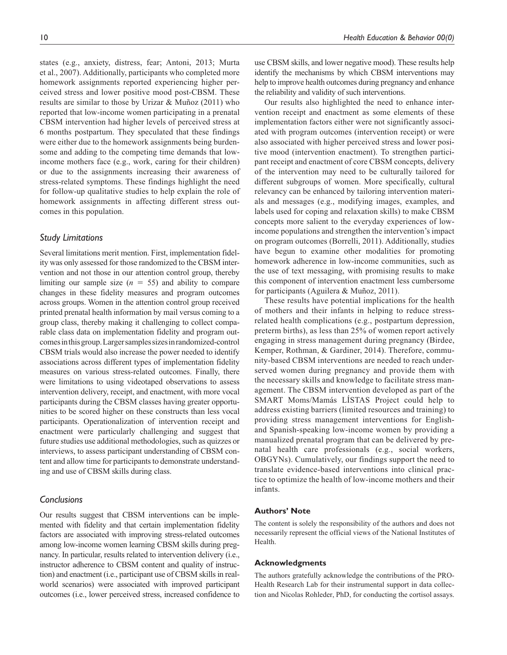states (e.g., anxiety, distress, fear; Antoni, 2013; Murta et al., 2007). Additionally, participants who completed more homework assignments reported experiencing higher perceived stress and lower positive mood post-CBSM. These results are similar to those by Urizar & Muñoz (2011) who reported that low-income women participating in a prenatal CBSM intervention had higher levels of perceived stress at 6 months postpartum. They speculated that these findings were either due to the homework assignments being burdensome and adding to the competing time demands that lowincome mothers face (e.g., work, caring for their children) or due to the assignments increasing their awareness of stress-related symptoms. These findings highlight the need for follow-up qualitative studies to help explain the role of homework assignments in affecting different stress outcomes in this population.

## *Study Limitations*

Several limitations merit mention. First, implementation fidelity was only assessed for those randomized to the CBSM intervention and not those in our attention control group, thereby limiting our sample size  $(n = 55)$  and ability to compare changes in these fidelity measures and program outcomes across groups. Women in the attention control group received printed prenatal health information by mail versus coming to a group class, thereby making it challenging to collect comparable class data on implementation fidelity and program outcomes in this group. Larger samples sizes in randomized-control CBSM trials would also increase the power needed to identify associations across different types of implementation fidelity measures on various stress-related outcomes. Finally, there were limitations to using videotaped observations to assess intervention delivery, receipt, and enactment, with more vocal participants during the CBSM classes having greater opportunities to be scored higher on these constructs than less vocal participants. Operationalization of intervention receipt and enactment were particularly challenging and suggest that future studies use additional methodologies, such as quizzes or interviews, to assess participant understanding of CBSM content and allow time for participants to demonstrate understanding and use of CBSM skills during class.

## *Conclusions*

Our results suggest that CBSM interventions can be implemented with fidelity and that certain implementation fidelity factors are associated with improving stress-related outcomes among low-income women learning CBSM skills during pregnancy. In particular, results related to intervention delivery (i.e., instructor adherence to CBSM content and quality of instruction) and enactment (i.e., participant use of CBSM skills in realworld scenarios) were associated with improved participant outcomes (i.e., lower perceived stress, increased confidence to

use CBSM skills, and lower negative mood). These results help identify the mechanisms by which CBSM interventions may help to improve health outcomes during pregnancy and enhance the reliability and validity of such interventions.

Our results also highlighted the need to enhance intervention receipt and enactment as some elements of these implementation factors either were not significantly associated with program outcomes (intervention receipt) or were also associated with higher perceived stress and lower positive mood (intervention enactment). To strengthen participant receipt and enactment of core CBSM concepts, delivery of the intervention may need to be culturally tailored for different subgroups of women. More specifically, cultural relevancy can be enhanced by tailoring intervention materials and messages (e.g., modifying images, examples, and labels used for coping and relaxation skills) to make CBSM concepts more salient to the everyday experiences of lowincome populations and strengthen the intervention's impact on program outcomes (Borrelli, 2011). Additionally, studies have begun to examine other modalities for promoting homework adherence in low-income communities, such as the use of text messaging, with promising results to make this component of intervention enactment less cumbersome for participants (Aguilera & Muñoz, 2011).

These results have potential implications for the health of mothers and their infants in helping to reduce stressrelated health complications (e.g., postpartum depression, preterm births), as less than 25% of women report actively engaging in stress management during pregnancy (Birdee, Kemper, Rothman, & Gardiner, 2014). Therefore, community-based CBSM interventions are needed to reach underserved women during pregnancy and provide them with the necessary skills and knowledge to facilitate stress management. The CBSM intervention developed as part of the SMART Moms/Mamás LÍSTAS Project could help to address existing barriers (limited resources and training) to providing stress management interventions for Englishand Spanish-speaking low-income women by providing a manualized prenatal program that can be delivered by prenatal health care professionals (e.g., social workers, OBGYNs). Cumulatively, our findings support the need to translate evidence-based interventions into clinical practice to optimize the health of low-income mothers and their infants.

#### **Authors' Note**

The content is solely the responsibility of the authors and does not necessarily represent the official views of the National Institutes of Health.

#### **Acknowledgments**

The authors gratefully acknowledge the contributions of the PRO-Health Research Lab for their instrumental support in data collection and Nicolas Rohleder, PhD, for conducting the cortisol assays.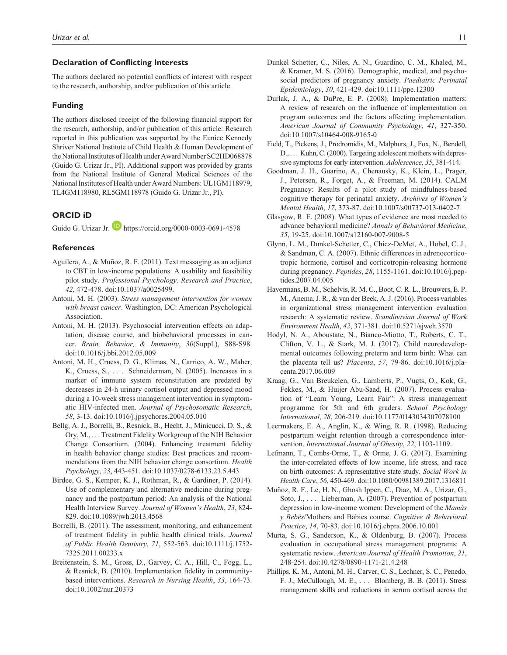## **Declaration of Conflicting Interests**

The authors declared no potential conflicts of interest with respect to the research, authorship, and/or publication of this article.

#### **Funding**

The authors disclosed receipt of the following financial support for the research, authorship, and/or publication of this article: Research reported in this publication was supported by the Eunice Kennedy Shriver National Institute of Child Health & Human Development of the National Institutes of Health under Award Number SC2HD068878 (Guido G. Urizar Jr., PI). Additional support was provided by grants from the National Institute of General Medical Sciences of the National Institutes of Health under Award Numbers: UL1GM118979, TL4GM118980, RL5GM118978 (Guido G. Urizar Jr., PI).

## **ORCID iD**

Guido G. Urizar Jr. **D** <https://orcid.org/0000-0003-0691-4578>

#### **References**

- Aguilera, A., & Muñoz, R. F. (2011). Text messaging as an adjunct to CBT in low-income populations: A usability and feasibility pilot study. *Professional Psychology, Research and Practice*, *42*, 472-478. doi:10.1037/a0025499.
- Antoni, M. H. (2003). *Stress management intervention for women with breast cancer*. Washington, DC: American Psychological Association.
- Antoni, M. H. (2013). Psychosocial intervention effects on adaptation, disease course, and biobehavioral processes in cancer. *Brain, Behavior, & Immunity*, *30*(Suppl.), S88-S98. doi:10.1016/j.bbi.2012.05.009
- Antoni, M. H., Cruess, D. G., Klimas, N., Carrico, A. W., Maher, K., Cruess, S., . . . Schneiderman, N. (2005). Increases in a marker of immune system reconstitution are predated by decreases in 24-h urinary cortisol output and depressed mood during a 10-week stress management intervention in symptomatic HIV-infected men. *Journal of Psychosomatic Research*, *58*, 3-13. doi:10.1016/j.jpsychores.2004.05.010
- Bellg, A. J., Borrelli, B., Resnick, B., Hecht, J., Minicucci, D. S., & Ory, M., . . . Treatment Fidelity Workgroup of the NIH Behavior Change Consortium. (2004). Enhancing treatment fidelity in health behavior change studies: Best practices and recommendations from the NIH behavior change consortium. *Health Psychology*, *23*, 443-451. doi:10.1037/0278-6133.23.5.443
- Birdee, G. S., Kemper, K. J., Rothman, R., & Gardiner, P. (2014). Use of complementary and alternative medicine during pregnancy and the postpartum period: An analysis of the National Health Interview Survey. *Journal of Women's Health*, *23*, 824- 829. doi:10.1089/jwh.2013.4568
- Borrelli, B. (2011). The assessment, monitoring, and enhancement of treatment fidelity in public health clinical trials. *Journal of Public Health Dentistry*, *71*, 552-563. doi:10.1111/j.1752- 7325.2011.00233.x
- Breitenstein, S. M., Gross, D., Garvey, C. A., Hill, C., Fogg, L., & Resnick, B. (2010). Implementation fidelity in communitybased interventions. *Research in Nursing Health*, *33*, 164-73. doi:10.1002/nur.20373
- Dunkel Schetter, C., Niles, A. N., Guardino, C. M., Khaled, M., & Kramer, M. S. (2016). Demographic, medical, and psychosocial predictors of pregnancy anxiety. *Paediatric Perinatal Epidemiology*, *30*, 421-429. doi:10.1111/ppe.12300
- Durlak, J. A., & DuPre, E. P. (2008). Implementation matters: A review of research on the influence of implementation on program outcomes and the factors affecting implementation. *American Journal of Community Psychology*, *41*, 327-350. doi:10.1007/s10464-008-9165-0
- Field, T., Pickens, J., Prodromidis, M., Malphurs, J., Fox, N., Bendell, D., . . . Kuhn, C. (2000). Targeting adolescent mothers with depressive symptoms for early intervention. *Adolescence*, *35*, 381-414.
- Goodman, J. H., Guarino, A., Chenausky, K., Klein, L., Prager, J., Petersen, R., Forget, A., & Freeman, M. (2014). CALM Pregnancy: Results of a pilot study of mindfulness-based cognitive therapy for perinatal anxiety. *Archives of Women's Mental Health*, *17*, 373-87. doi:10.1007/s00737-013-0402-7
- Glasgow, R. E. (2008). What types of evidence are most needed to advance behavioral medicine? *Annals of Behavioral Medicine*, *35*, 19-25. doi:10.1007/s12160-007-9008-5
- Glynn, L. M., Dunkel-Schetter, C., Chicz-DeMet, A., Hobel, C. J., & Sandman, C. A. (2007). Ethnic differences in adrenocorticotropic hormone, cortisol and corticotropin-releasing hormone during pregnancy. *Peptides*, *28*, 1155-1161. doi:10.1016/j.peptides.2007.04.005
- Havermans, B. M., Schelvis, R. M. C., Boot, C. R. L., Brouwers, E. P. M., Anema, J. R., & van der Beek, A. J. (2016). Process variables in organizational stress management intervention evaluation research: A systematic review. *Scandinavian Journal of Work Environment Health*, *42*, 371-381. doi:10.5271/sjweh.3570
- Hodyl, N. A., Aboustate, N., Bianco-Miotto, T., Roberts, C. T., Clifton, V. L., & Stark, M. J. (2017). Child neurodevelopmental outcomes following preterm and term birth: What can the placenta tell us? *Placenta*, *57*, 79-86. doi:10.1016/j.placenta.2017.06.009
- Kraag, G., Van Breukelen, G., Lamberts, P., Vugts, O., Kok, G., Fekkes, M., & Huijer Abu-Saad, H. (2007). Process evaluation of "Learn Young, Learn Fair": A stress management programme for 5th and 6th graders. *School Psychology International*, *28*, 206-219. doi:10.1177/0143034307078100
- Leermakers, E. A., Anglin, K., & Wing, R. R. (1998). Reducing postpartum weight retention through a correspondence intervention. *International Journal of Obesity*, *22*, 1103-1109.
- Lefmann, T., Combs-Orme, T., & Orme, J. G. (2017). Examining the inter-correlated effects of low income, life stress, and race on birth outcomes: A representative state study. *Social Work in Health Care*, *56*, 450-469. doi:10.1080/00981389.2017.1316811
- Muñoz, R. F., Le, H. N., Ghosh Ippen, C., Diaz, M. A., Urizar, G., Soto, J., . . . Lieberman, A. (2007). Prevention of postpartum depression in low-income women: Development of the *Mamás y Bebés*/Mothers and Babies course. *Cognitive & Behavioral Practice*, *14*, 70-83. doi:10.1016/j.cbpra.2006.10.001
- Murta, S. G., Sanderson, K., & Oldenburg, B. (2007). Process evaluation in occupational stress management programs: A systematic review. *American Journal of Health Promotion*, *21*, 248-254. doi:10.4278/0890-1171-21.4.248
- Phillips, K. M., Antoni, M. H., Carver, C. S., Lechner, S. C., Penedo, F. J., McCullough, M. E., . . . Blomberg, B. B. (2011). Stress management skills and reductions in serum cortisol across the